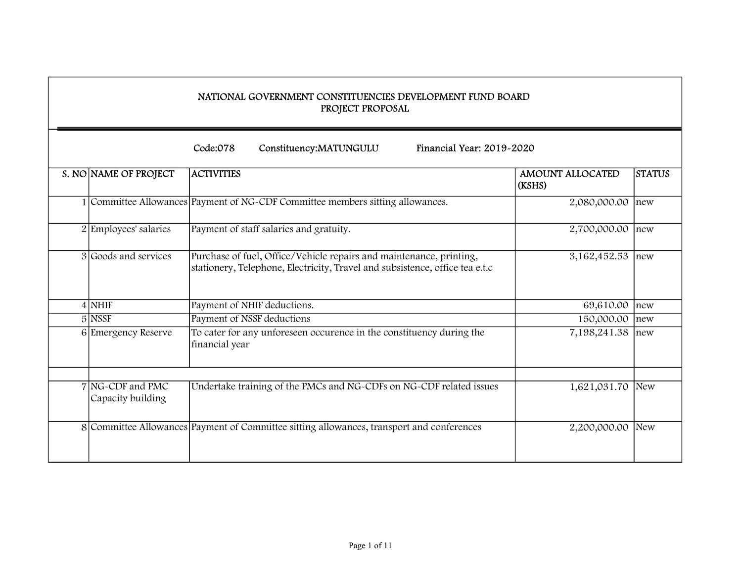| NATIONAL GOVERNMENT CONSTITUENCIES DEVELOPMENT FUND BOARD<br>PROJECT PROPOSAL |                                                                                                                                                     |                                   |               |  |  |  |
|-------------------------------------------------------------------------------|-----------------------------------------------------------------------------------------------------------------------------------------------------|-----------------------------------|---------------|--|--|--|
|                                                                               | Code:078<br>Constituency:MATUNGULU<br>Financial Year: 2019-2020                                                                                     |                                   |               |  |  |  |
| S. NO NAME OF PROJECT                                                         | <b>ACTIVITIES</b>                                                                                                                                   | <b>AMOUNT ALLOCATED</b><br>(KSHS) | <b>STATUS</b> |  |  |  |
|                                                                               | 1 Committee Allowances Payment of NG-CDF Committee members sitting allowances.                                                                      | 2,080,000.00                      | new           |  |  |  |
| 2 Employees' salaries                                                         | Payment of staff salaries and gratuity.                                                                                                             | 2,700,000.00                      | new           |  |  |  |
| 3 Goods and services                                                          | Purchase of fuel, Office/Vehicle repairs and maintenance, printing,<br>stationery, Telephone, Electricity, Travel and subsistence, office tea e.t.c | 3, 162, 452. 53                   | new           |  |  |  |
| $4$ NHIF                                                                      | Payment of NHIF deductions.                                                                                                                         | 69,610.00                         | Inew          |  |  |  |
| $5$ NSSF                                                                      | Payment of NSSF deductions                                                                                                                          | 150,000.00                        | Inew          |  |  |  |
| 6 Emergency Reserve                                                           | To cater for any unforeseen occurence in the constituency during the<br>financial year                                                              | 7,198,241.38                      | new           |  |  |  |
| 7 NG-CDF and PMC<br>Capacity building                                         | Undertake training of the PMCs and NG-CDFs on NG-CDF related issues                                                                                 | 1,621,031.70 New                  |               |  |  |  |
|                                                                               | 8 Committee Allowances Payment of Committee sitting allowances, transport and conferences                                                           | 2,200,000.00                      | New           |  |  |  |

г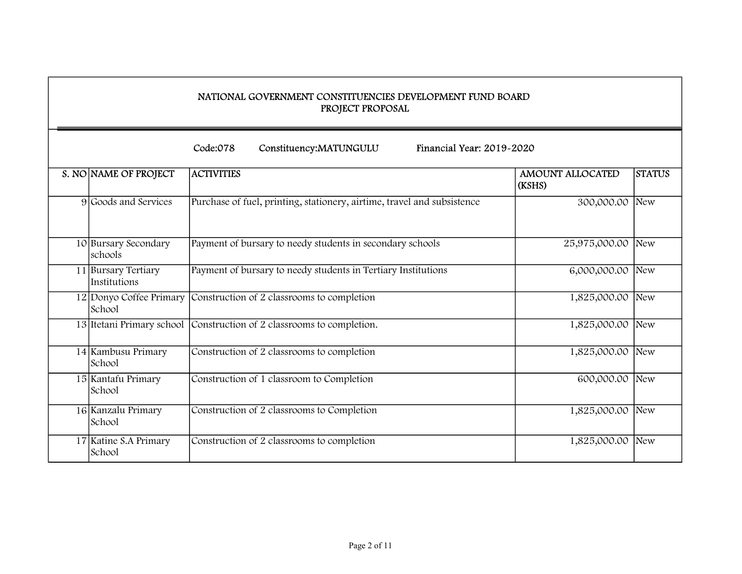| NATIONAL GOVERNMENT CONSTITUENCIES DEVELOPMENT FUND BOARD<br>PROJECT PROPOSAL |                                                                         |                                   |                     |  |  |
|-------------------------------------------------------------------------------|-------------------------------------------------------------------------|-----------------------------------|---------------------|--|--|
| Code:078<br>Constituency:MATUNGULU<br>Financial Year: 2019-2020               |                                                                         |                                   |                     |  |  |
| S. NO NAME OF PROJECT                                                         | <b>ACTIVITIES</b>                                                       | <b>AMOUNT ALLOCATED</b><br>(KSHS) | <b>STATUS</b>       |  |  |
| 9 Goods and Services                                                          | Purchase of fuel, printing, stationery, airtime, travel and subsistence | 300,000.00                        | $\sqrt{\text{New}}$ |  |  |
| 10 Bursary Secondary<br>schools                                               | Payment of bursary to needy students in secondary schools               | 25,975,000.00                     | New                 |  |  |
| 11 Bursary Tertiary<br>Institutions                                           | Payment of bursary to needy students in Tertiary Institutions           | 6,000,000.00                      | New                 |  |  |
| 12 Donyo Coffee Primary<br>School                                             | Construction of 2 classrooms to completion                              | 1,825,000.00                      | New                 |  |  |
| 13 Itetani Primary school                                                     | Construction of 2 classrooms to completion.                             | 1,825,000.00                      | New                 |  |  |
| 14 Kambusu Primary<br>School                                                  | Construction of 2 classrooms to completion                              | 1,825,000.00                      | New                 |  |  |
| 15 Kantafu Primary<br>School                                                  | Construction of 1 classroom to Completion                               | 600,000.00                        | New                 |  |  |
| 16 Kanzalu Primary<br>School                                                  | Construction of 2 classrooms to Completion                              | 1,825,000.00                      | $\sqrt{\text{New}}$ |  |  |
| 17 Katine S.A Primary<br>School                                               | Construction of 2 classrooms to completion                              | 1,825,000.00                      | New                 |  |  |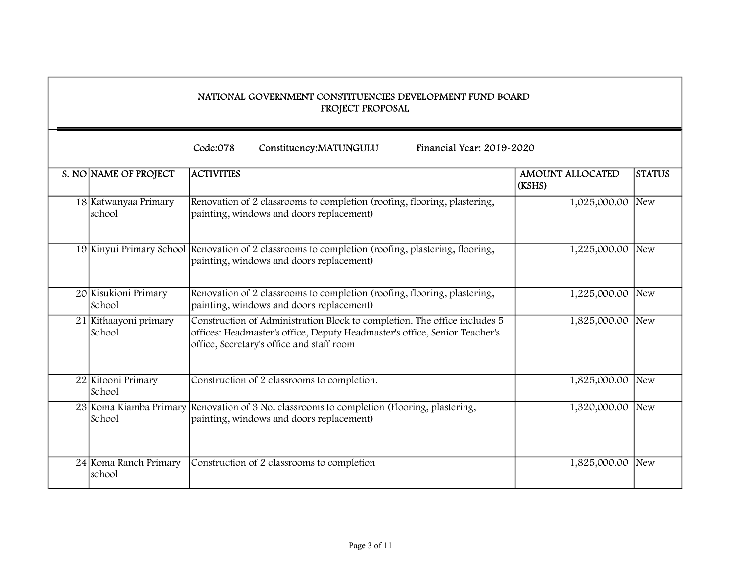| NATIONAL GOVERNMENT CONSTITUENCIES DEVELOPMENT FUND BOARD<br>PROJECT PROPOSAL |                                                                                                                                                                                                      |                                   |               |  |  |
|-------------------------------------------------------------------------------|------------------------------------------------------------------------------------------------------------------------------------------------------------------------------------------------------|-----------------------------------|---------------|--|--|
| Code:078<br>Constituency:MATUNGULU<br>Financial Year: 2019-2020               |                                                                                                                                                                                                      |                                   |               |  |  |
| S. NO NAME OF PROJECT                                                         | <b>ACTIVITIES</b>                                                                                                                                                                                    | <b>AMOUNT ALLOCATED</b><br>(KSHS) | <b>STATUS</b> |  |  |
| 18 Katwanyaa Primary<br>school                                                | Renovation of 2 classrooms to completion (roofing, flooring, plastering,<br>painting, windows and doors replacement)                                                                                 | 1,025,000.00                      | <b>New</b>    |  |  |
|                                                                               | 19 Kinyui Primary School Renovation of 2 classrooms to completion (roofing, plastering, flooring,<br>painting, windows and doors replacement)                                                        | 1,225,000.00                      | <b>New</b>    |  |  |
| 20 Kisukioni Primary<br>School                                                | Renovation of 2 classrooms to completion (roofing, flooring, plastering,<br>painting, windows and doors replacement)                                                                                 | 1,225,000.00                      | <b>New</b>    |  |  |
| 21 Kithaayoni primary<br>School                                               | Construction of Administration Block to completion. The office includes 5<br>offices: Headmaster's office, Deputy Headmaster's office, Senior Teacher's<br>office, Secretary's office and staff room | 1,825,000.00                      | <b>New</b>    |  |  |
| 22 Kitooni Primary<br>School                                                  | Construction of 2 classrooms to completion.                                                                                                                                                          | 1,825,000.00                      | <b>New</b>    |  |  |
| School                                                                        | 23 Koma Kiamba Primary Renovation of 3 No. classrooms to completion (Flooring, plastering,<br>painting, windows and doors replacement)                                                               | 1,320,000.00                      | New           |  |  |
| 24 Koma Ranch Primary<br>school                                               | Construction of 2 classrooms to completion                                                                                                                                                           | 1,825,000.00                      | <b>New</b>    |  |  |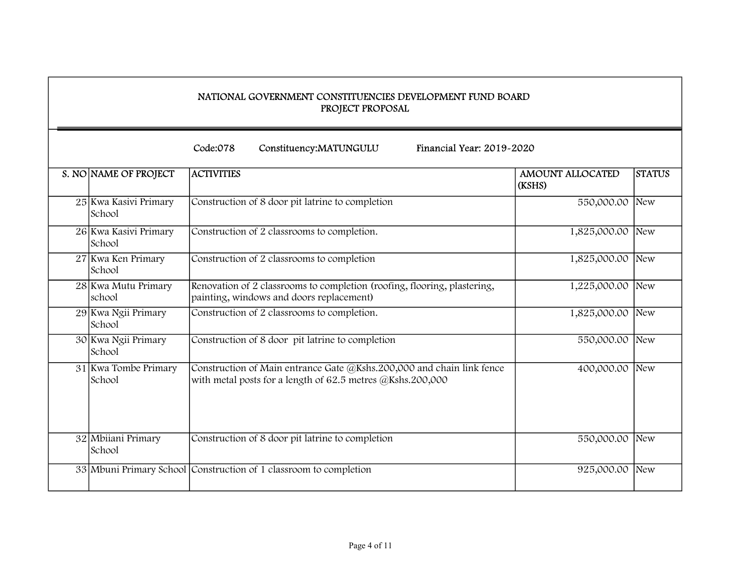| NATIONAL GOVERNMENT CONSTITUENCIES DEVELOPMENT FUND BOARD<br>PROJECT PROPOSAL |                                                                                                                                     |                                   |                     |  |  |
|-------------------------------------------------------------------------------|-------------------------------------------------------------------------------------------------------------------------------------|-----------------------------------|---------------------|--|--|
| Financial Year: 2019-2020<br>Code:078<br>Constituency:MATUNGULU               |                                                                                                                                     |                                   |                     |  |  |
| S. NO NAME OF PROJECT                                                         | <b>ACTIVITIES</b>                                                                                                                   | <b>AMOUNT ALLOCATED</b><br>(KSHS) | <b>STATUS</b>       |  |  |
| 25 Kwa Kasivi Primary<br>School                                               | Construction of 8 door pit latrine to completion                                                                                    | 550,000.00 New                    |                     |  |  |
| 26 Kwa Kasivi Primary<br>School                                               | Construction of 2 classrooms to completion.                                                                                         | 1,825,000.00 New                  |                     |  |  |
| 27 Kwa Ken Primary<br>School                                                  | Construction of 2 classrooms to completion                                                                                          | 1,825,000.00 New                  |                     |  |  |
| 28 Kwa Mutu Primary<br>school                                                 | Renovation of 2 classrooms to completion (roofing, flooring, plastering,<br>painting, windows and doors replacement)                | 1,225,000.00                      | <b>New</b>          |  |  |
| 29 Kwa Ngii Primary<br>School                                                 | Construction of 2 classrooms to completion.                                                                                         | 1,825,000.00                      | New                 |  |  |
| 30 Kwa Ngii Primary<br>School                                                 | Construction of 8 door pit latrine to completion                                                                                    | 550,000.00                        | New                 |  |  |
| 31 Kwa Tombe Primary<br>School                                                | Construction of Main entrance Gate @Kshs.200,000 and chain link fence<br>with metal posts for a length of 62.5 metres @Kshs.200,000 | 400,000.00 New                    |                     |  |  |
| 32 Mbiiani Primary<br>School                                                  | Construction of 8 door pit latrine to completion                                                                                    | 550,000.00                        | $\sqrt{N_{\rm EW}}$ |  |  |
|                                                                               | 33 Mbuni Primary School Construction of 1 classroom to completion                                                                   | 925,000.00                        | <b>New</b>          |  |  |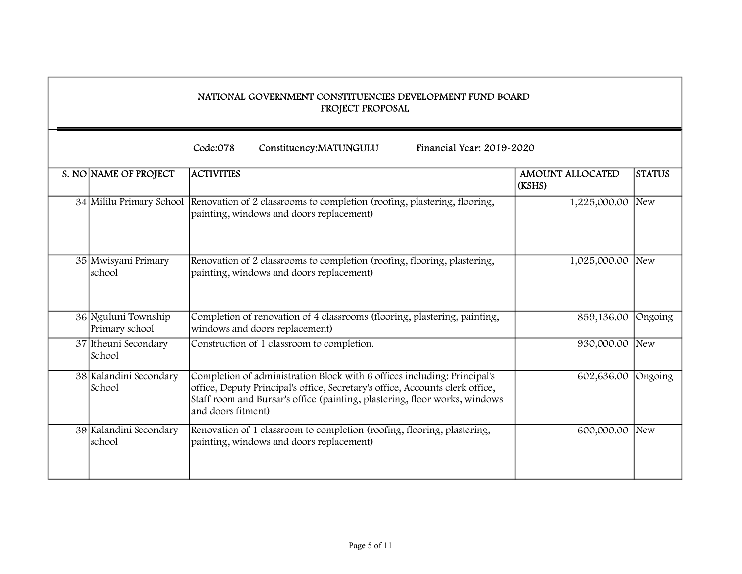| NATIONAL GOVERNMENT CONSTITUENCIES DEVELOPMENT FUND BOARD<br>PROJECT PROPOSAL |                                                                                                                                                                                                                                                               |                                   |               |  |
|-------------------------------------------------------------------------------|---------------------------------------------------------------------------------------------------------------------------------------------------------------------------------------------------------------------------------------------------------------|-----------------------------------|---------------|--|
|                                                                               | Code:078<br>Constituency:MATUNGULU<br>Financial Year: 2019-2020                                                                                                                                                                                               |                                   |               |  |
| S. NO NAME OF PROJECT                                                         | <b>ACTIVITIES</b>                                                                                                                                                                                                                                             | <b>AMOUNT ALLOCATED</b><br>(KSHS) | <b>STATUS</b> |  |
|                                                                               | 34 Mililu Primary School Renovation of 2 classrooms to completion (roofing, plastering, flooring,<br>painting, windows and doors replacement)                                                                                                                 | 1,225,000.00 New                  |               |  |
| 35 Mwisyani Primary<br>school                                                 | Renovation of 2 classrooms to completion (roofing, flooring, plastering,<br>painting, windows and doors replacement)                                                                                                                                          | 1,025,000.00 New                  |               |  |
| 36 Nguluni Township<br>Primary school                                         | Completion of renovation of 4 classrooms (flooring, plastering, painting,<br>windows and doors replacement)                                                                                                                                                   | 859,136.00                        | Ongoing       |  |
| 37 Itheuni Secondary<br>School                                                | Construction of 1 classroom to completion.                                                                                                                                                                                                                    | 930,000.00                        | New           |  |
| 38 Kalandini Secondary<br>School                                              | Completion of administration Block with 6 offices including: Principal's<br>office, Deputy Principal's office, Secretary's office, Accounts clerk office,<br>Staff room and Bursar's office (painting, plastering, floor works, windows<br>and doors fitment) | 602,636.00                        | Ongoing       |  |
| 39 Kalandini Secondary<br>school                                              | Renovation of 1 classroom to completion (roofing, flooring, plastering,<br>painting, windows and doors replacement)                                                                                                                                           | 600,000.00                        | New           |  |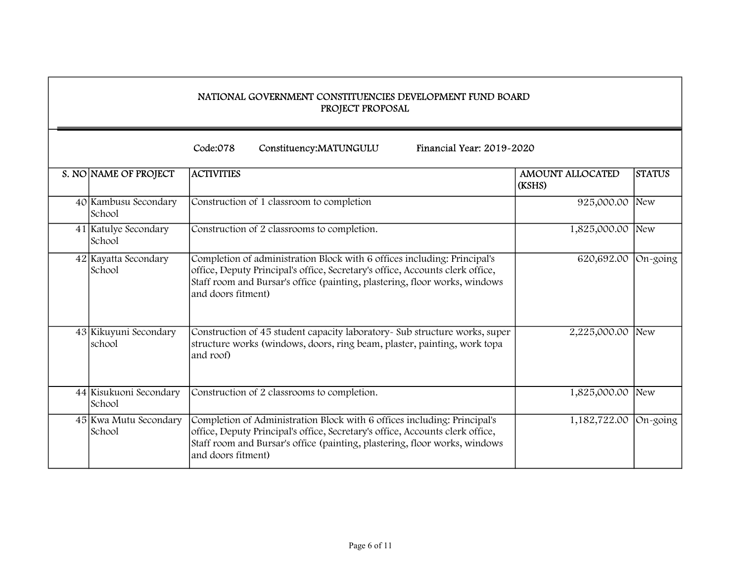| NATIONAL GOVERNMENT CONSTITUENCIES DEVELOPMENT FUND BOARD<br>PROJECT PROPOSAL |                                                                                                                                                                                                                                                               |                                   |               |  |  |
|-------------------------------------------------------------------------------|---------------------------------------------------------------------------------------------------------------------------------------------------------------------------------------------------------------------------------------------------------------|-----------------------------------|---------------|--|--|
|                                                                               | Code:078<br>Financial Year: 2019-2020<br>Constituency:MATUNGULU                                                                                                                                                                                               |                                   |               |  |  |
| S. NO NAME OF PROJECT                                                         | <b>ACTIVITIES</b>                                                                                                                                                                                                                                             | <b>AMOUNT ALLOCATED</b><br>(KSHS) | <b>STATUS</b> |  |  |
| 40 Kambusu Secondary<br>School                                                | Construction of 1 classroom to completion                                                                                                                                                                                                                     | 925,000.00 New                    |               |  |  |
| 41 Katulye Secondary<br>School                                                | Construction of 2 classrooms to completion.                                                                                                                                                                                                                   | 1,825,000.00                      | <b>New</b>    |  |  |
| 42 Kayatta Secondary<br>School                                                | Completion of administration Block with 6 offices including: Principal's<br>office, Deputy Principal's office, Secretary's office, Accounts clerk office,<br>Staff room and Bursar's office (painting, plastering, floor works, windows<br>and doors fitment) | 620,692.00                        | On-going      |  |  |
| 43 Kikuyuni Secondary<br>school                                               | Construction of 45 student capacity laboratory- Sub structure works, super<br>structure works (windows, doors, ring beam, plaster, painting, work topa<br>and roof)                                                                                           | 2,225,000.00                      | New           |  |  |
| 44 Kisukuoni Secondary<br>School                                              | Construction of 2 classrooms to completion.                                                                                                                                                                                                                   | 1,825,000.00                      | <b>New</b>    |  |  |
| 45 Kwa Mutu Secondary<br>School                                               | Completion of Administration Block with 6 offices including: Principal's<br>office, Deputy Principal's office, Secretary's office, Accounts clerk office,<br>Staff room and Bursar's office (painting, plastering, floor works, windows<br>and doors fitment) | 1,182,722.00                      | On-going      |  |  |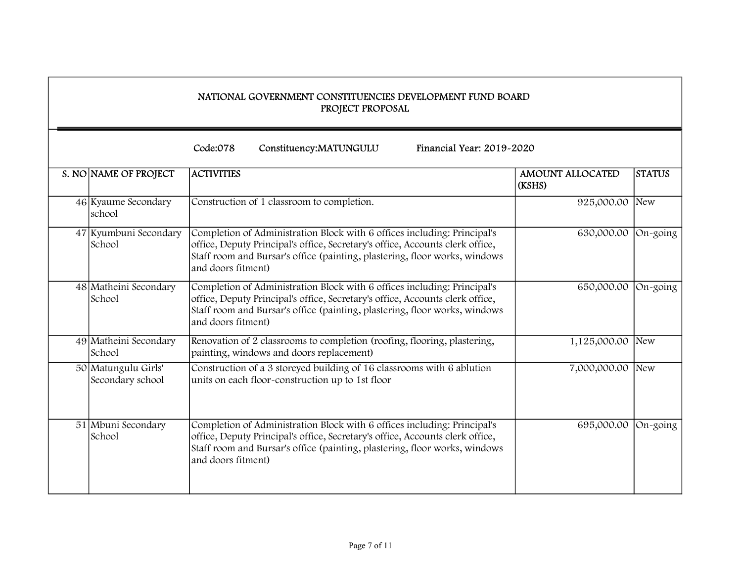| NATIONAL GOVERNMENT CONSTITUENCIES DEVELOPMENT FUND BOARD<br>PROJECT PROPOSAL |                                                                                                                                                                                                                                                               |                                   |                    |  |
|-------------------------------------------------------------------------------|---------------------------------------------------------------------------------------------------------------------------------------------------------------------------------------------------------------------------------------------------------------|-----------------------------------|--------------------|--|
| Constituency:MATUNGULU<br>Financial Year: 2019-2020<br>Code:078               |                                                                                                                                                                                                                                                               |                                   |                    |  |
| S. NO NAME OF PROJECT                                                         | <b>ACTIVITIES</b>                                                                                                                                                                                                                                             | <b>AMOUNT ALLOCATED</b><br>(KSHS) | <b>STATUS</b>      |  |
| 46 Kyaume Secondary<br>school                                                 | Construction of 1 classroom to completion.                                                                                                                                                                                                                    | 925,000.00                        | New                |  |
| 47 Kyumbuni Secondary<br>School                                               | Completion of Administration Block with 6 offices including: Principal's<br>office, Deputy Principal's office, Secretary's office, Accounts clerk office,<br>Staff room and Bursar's office (painting, plastering, floor works, windows<br>and doors fitment) | 630,000.00                        | On-going           |  |
| 48 Matheini Secondary<br>School                                               | Completion of Administration Block with 6 offices including: Principal's<br>office, Deputy Principal's office, Secretary's office, Accounts clerk office,<br>Staff room and Bursar's office (painting, plastering, floor works, windows<br>and doors fitment) | 650,000.00                        | $ On\text{-going}$ |  |
| 49 Matheini Secondary<br>School                                               | Renovation of 2 classrooms to completion (roofing, flooring, plastering,<br>painting, windows and doors replacement)                                                                                                                                          | 1,125,000.00                      | <b>New</b>         |  |
| 50 Matungulu Girls'<br>Secondary school                                       | Construction of a 3 storeyed building of 16 classrooms with 6 ablution<br>units on each floor-construction up to 1st floor                                                                                                                                    | 7,000,000.00                      | <b>New</b>         |  |
| 51 Mbuni Secondary<br>School                                                  | Completion of Administration Block with 6 offices including: Principal's<br>office, Deputy Principal's office, Secretary's office, Accounts clerk office,<br>Staff room and Bursar's office (painting, plastering, floor works, windows<br>and doors fitment) | 695,000.00                        | $ On\text{-going}$ |  |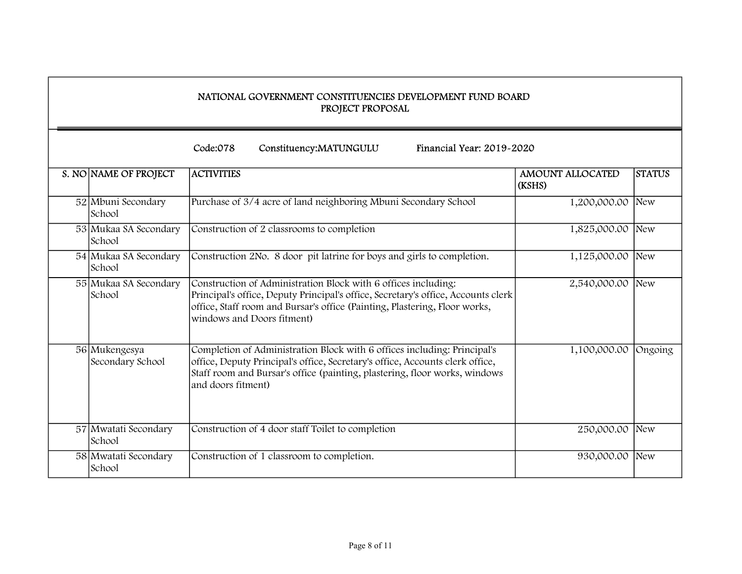|  | NATIONAL GOVERNMENT CONSTITUENCIES DEVELOPMENT FUND BOARD<br>PROJECT PROPOSAL<br>Code:078<br>Constituency:MATUNGULU<br>Financial Year: 2019-2020 |                                                                                                                                                                                                                                                                 |                                   |               |  |  |
|--|--------------------------------------------------------------------------------------------------------------------------------------------------|-----------------------------------------------------------------------------------------------------------------------------------------------------------------------------------------------------------------------------------------------------------------|-----------------------------------|---------------|--|--|
|  |                                                                                                                                                  |                                                                                                                                                                                                                                                                 |                                   |               |  |  |
|  | S. NO NAME OF PROJECT                                                                                                                            | <b>ACTIVITIES</b>                                                                                                                                                                                                                                               | <b>AMOUNT ALLOCATED</b><br>(KSHS) | <b>STATUS</b> |  |  |
|  | 52 Mbuni Secondary<br>School                                                                                                                     | Purchase of 3/4 acre of land neighboring Mbuni Secondary School                                                                                                                                                                                                 | 1,200,000.00 New                  |               |  |  |
|  | 53 Mukaa SA Secondary<br>School                                                                                                                  | Construction of 2 classrooms to completion                                                                                                                                                                                                                      | 1,825,000.00                      | New           |  |  |
|  | 54 Mukaa SA Secondary<br>School                                                                                                                  | Construction 2No. 8 door pit latrine for boys and girls to completion.                                                                                                                                                                                          | 1,125,000.00 New                  |               |  |  |
|  | 55 Mukaa SA Secondary<br>School                                                                                                                  | Construction of Administration Block with 6 offices including:<br>Principal's office, Deputy Principal's office, Secretary's office, Accounts clerk<br>office, Staff room and Bursar's office (Painting, Plastering, Floor works,<br>windows and Doors fitment) | 2,540,000.00 New                  |               |  |  |
|  | 56 Mukengesya<br>Secondary School                                                                                                                | Completion of Administration Block with 6 offices including: Principal's<br>office, Deputy Principal's office, Secretary's office, Accounts clerk office,<br>Staff room and Bursar's office (painting, plastering, floor works, windows<br>and doors fitment)   | 1,100,000.00                      | Ongoing       |  |  |
|  | 57 Mwatati Secondary<br>School                                                                                                                   | Construction of 4 door staff Toilet to completion                                                                                                                                                                                                               | 250,000.00 New                    |               |  |  |
|  | 58 Mwatati Secondary<br>School                                                                                                                   | Construction of 1 classroom to completion.                                                                                                                                                                                                                      | 930,000.00 New                    |               |  |  |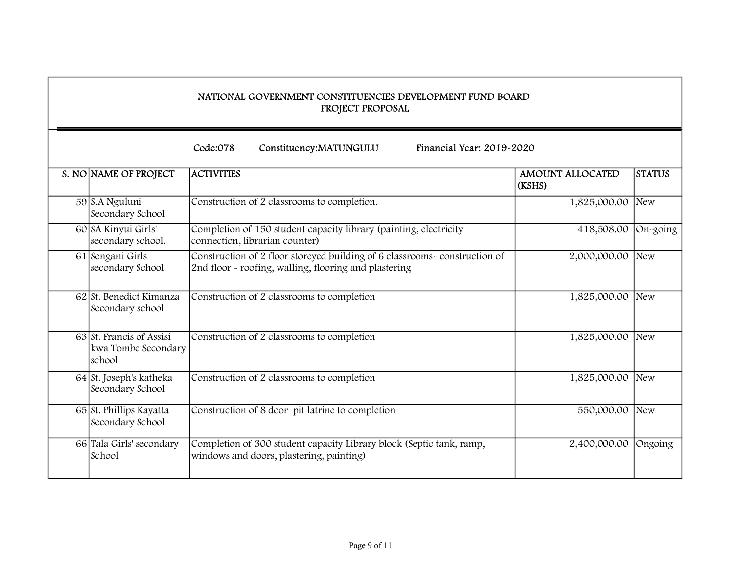| NATIONAL GOVERNMENT CONSTITUENCIES DEVELOPMENT FUND BOARD<br>PROJECT PROPOSAL |                                                                                                                                    |                                   |               |  |  |
|-------------------------------------------------------------------------------|------------------------------------------------------------------------------------------------------------------------------------|-----------------------------------|---------------|--|--|
|                                                                               | Code:078<br>Financial Year: 2019-2020<br>Constituency:MATUNGULU                                                                    |                                   |               |  |  |
| S. NO NAME OF PROJECT                                                         | <b>ACTIVITIES</b>                                                                                                                  | <b>AMOUNT ALLOCATED</b><br>(KSHS) | <b>STATUS</b> |  |  |
| 59 S.A Nguluni<br>Secondary School                                            | Construction of 2 classrooms to completion.                                                                                        | 1,825,000.00                      | New           |  |  |
| 60 SA Kinyui Girls'<br>secondary school.                                      | Completion of 150 student capacity library (painting, electricity<br>connection, librarian counter)                                | 418,508.00                        | On-going      |  |  |
| 61 Sengani Girls<br>secondary School                                          | Construction of 2 floor storeyed building of 6 classrooms-construction of<br>2nd floor - roofing, walling, flooring and plastering | 2,000,000.00                      | <b>New</b>    |  |  |
| 62 St. Benedict Kimanza<br>Secondary school                                   | Construction of 2 classrooms to completion                                                                                         | 1,825,000.00                      | <b>New</b>    |  |  |
| 63 St. Francis of Assisi<br>kwa Tombe Secondary<br>school                     | Construction of 2 classrooms to completion                                                                                         | 1,825,000.00                      | <b>New</b>    |  |  |
| 64 St. Joseph's katheka<br>Secondary School                                   | Construction of 2 classrooms to completion                                                                                         | 1,825,000.00                      | <b>New</b>    |  |  |
| 65 St. Phillips Kayatta<br>Secondary School                                   | Construction of 8 door pit latrine to completion                                                                                   | 550,000.00                        | <b>New</b>    |  |  |
| 66 Tala Girls' secondary<br>School                                            | Completion of 300 student capacity Library block (Septic tank, ramp,<br>windows and doors, plastering, painting)                   | 2,400,000.00                      | Ongoing       |  |  |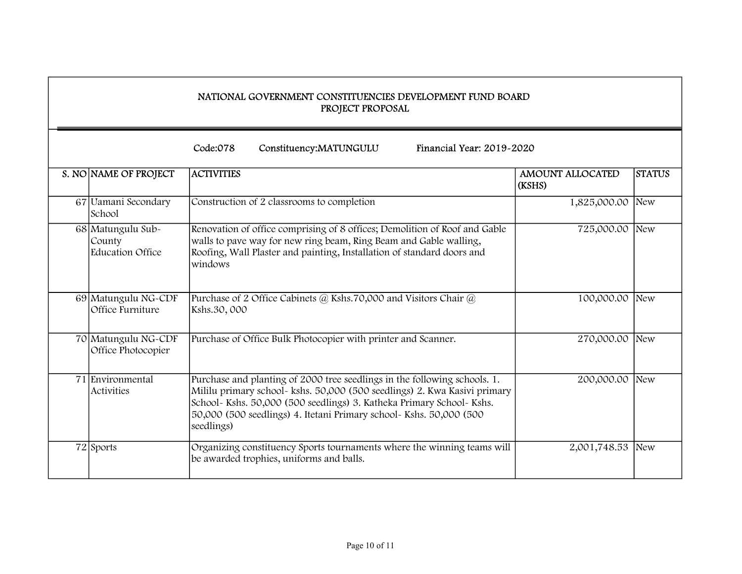| NATIONAL GOVERNMENT CONSTITUENCIES DEVELOPMENT FUND BOARD<br>PROJECT PROPOSAL |                                                                                                                                                                                                                                                                                                                      |                                   |               |  |  |
|-------------------------------------------------------------------------------|----------------------------------------------------------------------------------------------------------------------------------------------------------------------------------------------------------------------------------------------------------------------------------------------------------------------|-----------------------------------|---------------|--|--|
|                                                                               | Code:078<br>Constituency:MATUNGULU<br>Financial Year: 2019-2020                                                                                                                                                                                                                                                      |                                   |               |  |  |
| S. NO NAME OF PROJECT                                                         | <b>ACTIVITIES</b>                                                                                                                                                                                                                                                                                                    | <b>AMOUNT ALLOCATED</b><br>(KSHS) | <b>STATUS</b> |  |  |
| 67 Uamani Secondary<br>School                                                 | Construction of 2 classrooms to completion                                                                                                                                                                                                                                                                           | 1,825,000.00 New                  |               |  |  |
| 68 Matungulu Sub-<br>County<br><b>Education Office</b>                        | Renovation of office comprising of 8 offices; Demolition of Roof and Gable<br>walls to pave way for new ring beam, Ring Beam and Gable walling,<br>Roofing, Wall Plaster and painting, Installation of standard doors and<br>windows                                                                                 | 725,000.00 New                    |               |  |  |
| 69 Matungulu NG-CDF<br>Office Furniture                                       | Purchase of 2 Office Cabinets @ Kshs.70,000 and Visitors Chair @<br>Kshs.30,000                                                                                                                                                                                                                                      | 100,000.00 New                    |               |  |  |
| 70 Matungulu NG-CDF<br>Office Photocopier                                     | Purchase of Office Bulk Photocopier with printer and Scanner.                                                                                                                                                                                                                                                        | 270,000.00 New                    |               |  |  |
| 71 Environmental<br>Activities                                                | Purchase and planting of 2000 tree seedlings in the following schools. 1.<br>Mililu primary school- kshs. 50,000 (500 seedlings) 2. Kwa Kasivi primary<br>School- Kshs. 50,000 (500 seedlings) 3. Katheka Primary School- Kshs.<br>50,000 (500 seedlings) 4. Itetani Primary school- Kshs. 50,000 (500<br>seedlings) | 200,000.00 New                    |               |  |  |
| 72 Sports                                                                     | Organizing constituency Sports tournaments where the winning teams will<br>be awarded trophies, uniforms and balls.                                                                                                                                                                                                  | 2,001,748.53 New                  |               |  |  |